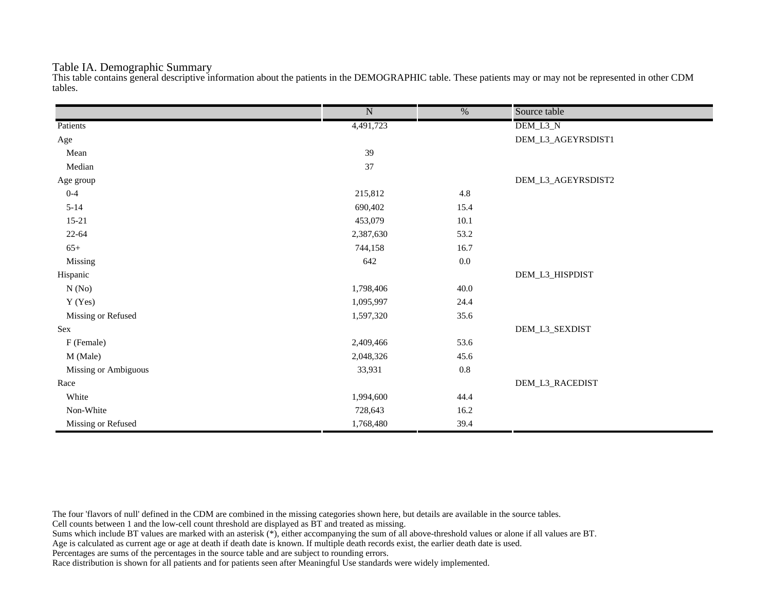#### Table IA. Demographic Summary

This table contains general descriptive information about the patients in the DEMOGRAPHIC table. These patients may or may not be represented in other CDM tables.

|                      | $\overline{\text{N}}$ | $\overline{\frac{0}{0}}$ | Source table       |
|----------------------|-----------------------|--------------------------|--------------------|
| Patients             | 4,491,723             |                          | DEM_L3_N           |
| Age                  |                       |                          | DEM_L3_AGEYRSDIST1 |
| Mean                 | 39                    |                          |                    |
| Median               | 37                    |                          |                    |
| Age group            |                       |                          | DEM_L3_AGEYRSDIST2 |
| $0 - 4$              | 215,812               | 4.8                      |                    |
| $5 - 14$             | 690,402               | 15.4                     |                    |
| $15-21$              | 453,079               | 10.1                     |                    |
| $22 - 64$            | 2,387,630             | 53.2                     |                    |
| $65+$                | 744,158               | 16.7                     |                    |
| Missing              | 642                   | $0.0\,$                  |                    |
| Hispanic             |                       |                          | DEM_L3_HISPDIST    |
| N(No)                | 1,798,406             | 40.0                     |                    |
| Y (Yes)              | 1,095,997             | 24.4                     |                    |
| Missing or Refused   | 1,597,320             | 35.6                     |                    |
| Sex                  |                       |                          | DEM_L3_SEXDIST     |
| F (Female)           | 2,409,466             | 53.6                     |                    |
| M (Male)             | 2,048,326             | 45.6                     |                    |
| Missing or Ambiguous | 33,931                | $0.8\,$                  |                    |
| Race                 |                       |                          | DEM_L3_RACEDIST    |
| White                | 1,994,600             | 44.4                     |                    |
| Non-White            | 728,643               | 16.2                     |                    |
| Missing or Refused   | 1,768,480             | 39.4                     |                    |

The four 'flavors of null' defined in the CDM are combined in the missing categories shown here, but details are available in the source tables.

Cell counts between 1 and the low-cell count threshold are displayed as BT and treated as missing.

Sums which include BT values are marked with an asterisk (\*), either accompanying the sum of all above-threshold values or alone if all values are BT.

Age is calculated as current age or age at death if death date is known. If multiple death records exist, the earlier death date is used.

Percentages are sums of the percentages in the source table and are subject to rounding errors.

Race distribution is shown for all patients and for patients seen after Meaningful Use standards were widely implemented.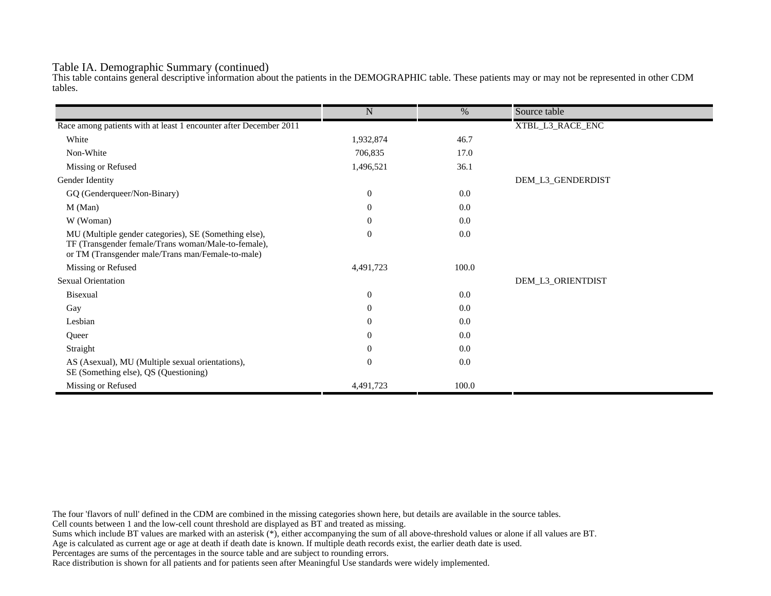#### Table IA. Demographic Summary (continued)

This table contains general descriptive information about the patients in the DEMOGRAPHIC table. These patients may or may not be represented in other CDM tables.

|                                                                                                                                                                   | $\mathbf N$      | $\%$  | Source table      |
|-------------------------------------------------------------------------------------------------------------------------------------------------------------------|------------------|-------|-------------------|
|                                                                                                                                                                   |                  |       |                   |
| Race among patients with at least 1 encounter after December 2011                                                                                                 |                  |       | XTBL_L3_RACE_ENC  |
| White                                                                                                                                                             | 1,932,874        | 46.7  |                   |
| Non-White                                                                                                                                                         | 706,835          | 17.0  |                   |
| Missing or Refused                                                                                                                                                | 1,496,521        | 36.1  |                   |
| Gender Identity                                                                                                                                                   |                  |       | DEM_L3_GENDERDIST |
| GQ (Genderqueer/Non-Binary)                                                                                                                                       | $\overline{0}$   | 0.0   |                   |
| $M$ (Man)                                                                                                                                                         | $\theta$         | 0.0   |                   |
| W (Woman)                                                                                                                                                         | $\boldsymbol{0}$ | 0.0   |                   |
| MU (Multiple gender categories), SE (Something else),<br>TF (Transgender female/Trans woman/Male-to-female),<br>or TM (Transgender male/Trans man/Female-to-male) | $\mathbf{0}$     | 0.0   |                   |
| Missing or Refused                                                                                                                                                | 4,491,723        | 100.0 |                   |
| <b>Sexual Orientation</b>                                                                                                                                         |                  |       | DEM_L3_ORIENTDIST |
| Bisexual                                                                                                                                                          | $\mathbf{0}$     | 0.0   |                   |
| Gay                                                                                                                                                               | $\overline{0}$   | 0.0   |                   |
| Lesbian                                                                                                                                                           | $\overline{0}$   | 0.0   |                   |
| Queer                                                                                                                                                             | $\overline{0}$   | 0.0   |                   |
| Straight                                                                                                                                                          | $\theta$         | 0.0   |                   |
| AS (Asexual), MU (Multiple sexual orientations),<br>SE (Something else), QS (Questioning)                                                                         | $\mathbf{0}$     | 0.0   |                   |
| Missing or Refused                                                                                                                                                | 4,491,723        | 100.0 |                   |

The four 'flavors of null' defined in the CDM are combined in the missing categories shown here, but details are available in the source tables.

Cell counts between 1 and the low-cell count threshold are displayed as BT and treated as missing.

Sums which include BT values are marked with an asterisk (\*), either accompanying the sum of all above-threshold values or alone if all values are BT.

Age is calculated as current age or age at death if death date is known. If multiple death records exist, the earlier death date is used.

Percentages are sums of the percentages in the source table and are subject to rounding errors.

Race distribution is shown for all patients and for patients seen after Meaningful Use standards were widely implemented.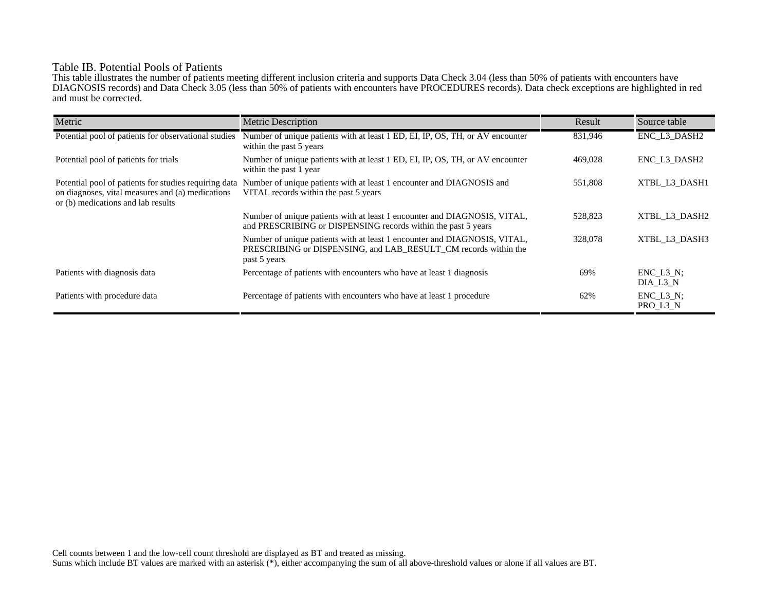## Table IB. Potential Pools of Patients

This table illustrates the number of patients meeting different inclusion criteria and supports Data Check 3.04 (less than 50% of patients with encounters have DIAGNOSIS records) and Data Check 3.05 (less than 50% of patients with encounters have PROCEDURES records). Data check exceptions are highlighted in red and must be corrected.

| Metric                                                                                                                                          | <b>Metric Description</b>                                                                                                                                    | Result  | Source table                 |
|-------------------------------------------------------------------------------------------------------------------------------------------------|--------------------------------------------------------------------------------------------------------------------------------------------------------------|---------|------------------------------|
| Potential pool of patients for observational studies                                                                                            | Number of unique patients with at least 1 ED, EI, IP, OS, TH, or AV encounter<br>within the past 5 years                                                     | 831,946 | ENC_L3_DASH2                 |
| Potential pool of patients for trials                                                                                                           | Number of unique patients with at least 1 ED, EI, IP, OS, TH, or AV encounter<br>within the past 1 year                                                      | 469,028 | ENC L3 DASH2                 |
| Potential pool of patients for studies requiring data<br>on diagnoses, vital measures and (a) medications<br>or (b) medications and lab results | Number of unique patients with at least 1 encounter and DIAGNOSIS and<br>VITAL records within the past 5 years                                               | 551,808 | XTBL L3 DASH1                |
|                                                                                                                                                 | Number of unique patients with at least 1 encounter and DIAGNOSIS, VITAL,<br>and PRESCRIBING or DISPENSING records within the past 5 years                   | 528,823 | XTBL L3 DASH2                |
|                                                                                                                                                 | Number of unique patients with at least 1 encounter and DIAGNOSIS, VITAL,<br>PRESCRIBING or DISPENSING, and LAB RESULT CM records within the<br>past 5 years | 328,078 | XTBL L3 DASH3                |
| Patients with diagnosis data                                                                                                                    | Percentage of patients with encounters who have at least 1 diagnosis                                                                                         | 69%     | $ENC$ $L3$ $N$ ;<br>DIA L3 N |
| Patients with procedure data                                                                                                                    | Percentage of patients with encounters who have at least 1 procedure                                                                                         | 62%     | $ENC_L3_N;$<br>PRO_L3_N      |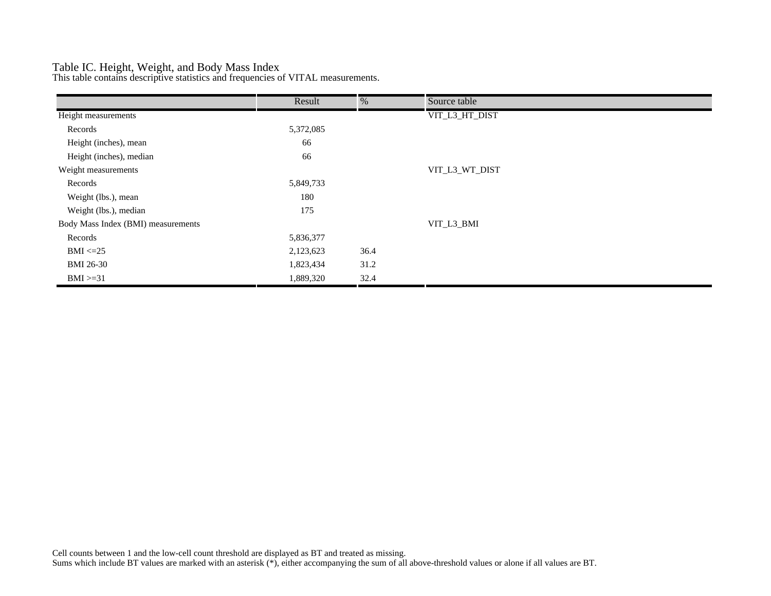### Table IC. Height, Weight, and Body Mass Index

This table contains descriptive statistics and frequencies of VITAL measurements.

|                                    | Result    | %    | Source table   |
|------------------------------------|-----------|------|----------------|
| Height measurements                |           |      | VIT_L3_HT_DIST |
| Records                            | 5,372,085 |      |                |
| Height (inches), mean              | 66        |      |                |
| Height (inches), median            | 66        |      |                |
| Weight measurements                |           |      | VIT_L3_WT_DIST |
| Records                            | 5,849,733 |      |                |
| Weight (lbs.), mean                | 180       |      |                |
| Weight (lbs.), median              | 175       |      |                |
| Body Mass Index (BMI) measurements |           |      | VIT_L3_BMI     |
| Records                            | 5,836,377 |      |                |
| $BMI \leq=25$                      | 2,123,623 | 36.4 |                |
| <b>BMI 26-30</b>                   | 1,823,434 | 31.2 |                |
| $BMI > = 31$                       | 1,889,320 | 32.4 |                |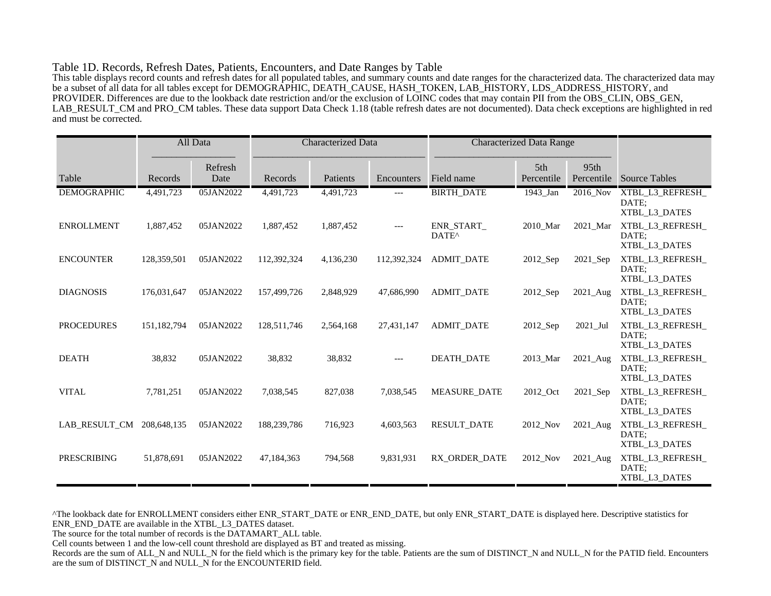#### Table 1D. Records, Refresh Dates, Patients, Encounters, and Date Ranges by Table

This table displays record counts and refresh dates for all populated tables, and summary counts and date ranges for the characterized data. The characterized data may be a subset of all data for all tables except for DEMOGRAPHIC, DEATH\_CAUSE, HASH\_TOKEN, LAB\_HISTORY, LDS\_ADDRESS\_HISTORY, and PROVIDER. Differences are due to the lookback date restriction and/or the exclusion of LOINC codes that may contain PII from the OBS\_CLIN, OBS\_GEN, LAB\_RESULT\_CM and PRO\_CM tables. These data support Data Check 1.18 (table refresh dates are not documented). Data check exceptions are highlighted in red and must be corrected.

|                    |             | All Data        | <b>Characterized Data</b> |           | <b>Characterized Data Range</b> |                                       |                        |                    |                                            |
|--------------------|-------------|-----------------|---------------------------|-----------|---------------------------------|---------------------------------------|------------------------|--------------------|--------------------------------------------|
| Table              | Records     | Refresh<br>Date | Records                   | Patients  | Encounters                      | Field name                            | 5th<br>Percentile      | 95th<br>Percentile | <b>Source Tables</b>                       |
| <b>DEMOGRAPHIC</b> | 4,491,723   | 05JAN2022       | 4,491,723                 | 4,491,723 | ---                             | <b>BIRTH_DATE</b>                     | 1943_Jan               | 2016_Nov           | XTBL_L3_REFRESH_<br>DATE:<br>XTBL L3 DATES |
| <b>ENROLLMENT</b>  | 1,887,452   | 05JAN2022       | 1,887,452                 | 1,887,452 | $---$                           | <b>ENR START</b><br>DATE <sup>^</sup> | 2010_Mar               | 2021 Mar           | XTBL_L3_REFRESH_<br>DATE;<br>XTBL_L3_DATES |
| <b>ENCOUNTER</b>   | 128,359,501 | 05JAN2022       | 112,392,324               | 4,136,230 | 112,392,324                     | <b>ADMIT_DATE</b>                     | $2012$ <sub>-Sep</sub> | 2021_Sep           | XTBL_L3_REFRESH_<br>DATE:<br>XTBL_L3_DATES |
| <b>DIAGNOSIS</b>   | 176,031,647 | 05JAN2022       | 157,499,726               | 2,848,929 | 47,686,990                      | <b>ADMIT DATE</b>                     | $2012$ <sub>-Sep</sub> | 2021_Aug           | XTBL_L3_REFRESH_<br>DATE:<br>XTBL_L3_DATES |
| <b>PROCEDURES</b>  | 151,182,794 | 05JAN2022       | 128,511,746               | 2,564,168 | 27,431,147                      | <b>ADMIT DATE</b>                     | $2012$ <sub>-Sep</sub> | 2021 Jul           | XTBL_L3_REFRESH_<br>DATE:<br>XTBL_L3_DATES |
| <b>DEATH</b>       | 38,832      | 05JAN2022       | 38,832                    | 38,832    | $---$                           | <b>DEATH DATE</b>                     | 2013_Mar               | 2021_Aug           | XTBL_L3_REFRESH_<br>DATE;<br>XTBL_L3_DATES |
| <b>VITAL</b>       | 7,781,251   | 05JAN2022       | 7,038,545                 | 827,038   | 7,038,545                       | <b>MEASURE DATE</b>                   | 2012_Oct               | 2021_Sep           | XTBL_L3_REFRESH_<br>DATE:<br>XTBL_L3_DATES |
| LAB RESULT CM      | 208,648,135 | 05JAN2022       | 188,239,786               | 716,923   | 4,603,563                       | <b>RESULT_DATE</b>                    | 2012_Nov               | 2021_Aug           | XTBL_L3_REFRESH_<br>DATE:<br>XTBL_L3_DATES |
| <b>PRESCRIBING</b> | 51,878,691  | 05JAN2022       | 47,184,363                | 794,568   | 9,831,931                       | RX ORDER DATE                         | 2012 Nov               | $2021$ Aug         | XTBL_L3_REFRESH_<br>DATE:<br>XTBL_L3_DATES |

^The lookback date for ENROLLMENT considers either ENR\_START\_DATE or ENR\_END\_DATE, but only ENR\_START\_DATE is displayed here. Descriptive statistics for ENR\_END\_DATE are available in the XTBL\_L3\_DATES dataset.

The source for the total number of records is the DATAMART\_ALL table.

Cell counts between 1 and the low-cell count threshold are displayed as BT and treated as missing.

Records are the sum of ALL\_N and NULL\_N for the field which is the primary key for the table. Patients are the sum of DISTINCT\_N and NULL\_N for the PATID field. Encounters are the sum of DISTINCT\_N and NULL\_N for the ENCOUNTERID field.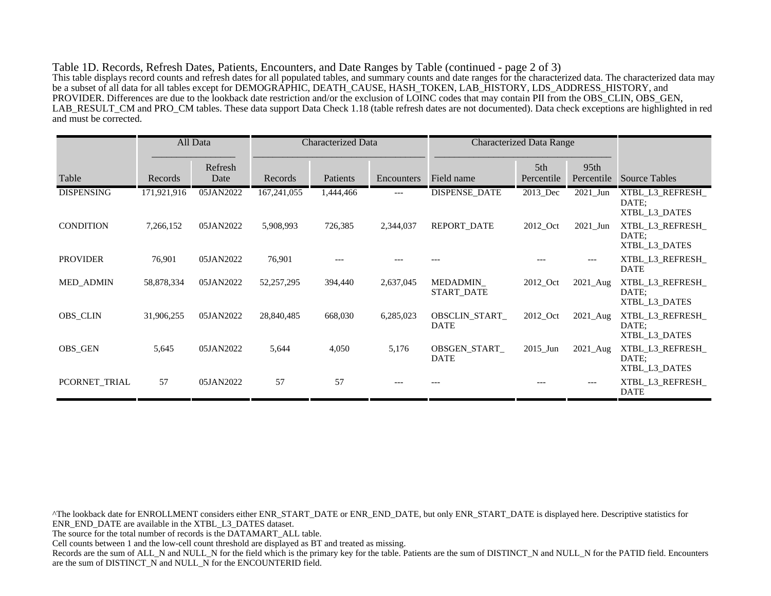Table 1D. Records, Refresh Dates, Patients, Encounters, and Date Ranges by Table (continued - page 2 of 3) This table displays record counts and refresh dates for all populated tables, and summary counts and date ranges for the characterized data. The characterized data may be a subset of all data for all tables except for DEMOGRAPHIC, DEATH\_CAUSE, HASH\_TOKEN, LAB\_HISTORY, LDS\_ADDRESS\_HISTORY, and PROVIDER. Differences are due to the lookback date restriction and/or the exclusion of LOINC codes that may contain PII from the OBS\_CLIN, OBS\_GEN, LAB\_RESULT\_CM and PRO\_CM tables. These data support Data Check 1.18 (table refresh dates are not documented). Data check exceptions are highlighted in red and must be corrected.

|                   |             | All Data        | <b>Characterized Data</b> |           |            | <b>Characterized Data Range</b> |                   |                                |                                            |
|-------------------|-------------|-----------------|---------------------------|-----------|------------|---------------------------------|-------------------|--------------------------------|--------------------------------------------|
| Table             | Records     | Refresh<br>Date | Records                   | Patients  | Encounters | Field name                      | 5th<br>Percentile | 95 <sub>th</sub><br>Percentile | <b>Source Tables</b>                       |
| <b>DISPENSING</b> | 171,921,916 | 05JAN2022       | 167, 241, 055             | 1,444,466 | $---$      | <b>DISPENSE DATE</b>            | 2013_Dec          | $2021$ _Jun                    | XTBL_L3_REFRESH_<br>DATE:<br>XTBL_L3_DATES |
| <b>CONDITION</b>  | 7,266,152   | 05JAN2022       | 5,908,993                 | 726,385   | 2,344,037  | REPORT_DATE                     | 2012_Oct          | $2021$ _Jun                    | XTBL_L3_REFRESH_<br>DATE:<br>XTBL_L3_DATES |
| <b>PROVIDER</b>   | 76,901      | 05JAN2022       | 76,901                    |           |            |                                 |                   | $---$                          | XTBL_L3_REFRESH_<br><b>DATE</b>            |
| <b>MED_ADMIN</b>  | 58,878,334  | 05JAN2022       | 52,257,295                | 394,440   | 2,637,045  | MEDADMIN<br>START_DATE          | 2012_Oct          | $2021$ _Aug                    | XTBL_L3_REFRESH_<br>DATE:<br>XTBL L3 DATES |
| <b>OBS_CLIN</b>   | 31,906,255  | 05JAN2022       | 28,840,485                | 668,030   | 6,285,023  | OBSCLIN_START_<br><b>DATE</b>   | 2012_Oct          | $2021$ Aug                     | XTBL_L3_REFRESH_<br>DATE:<br>XTBL L3 DATES |
| <b>OBS GEN</b>    | 5,645       | 05JAN2022       | 5,644                     | 4,050     | 5,176      | OBSGEN START<br><b>DATE</b>     | $2015$ Jun        | $2021$ _Aug                    | XTBL L3 REFRESH<br>DATE:<br>XTBL L3 DATES  |
| PCORNET_TRIAL     | 57          | 05JAN2022       | 57                        | 57        |            |                                 |                   |                                | XTBL_L3_REFRESH_<br><b>DATE</b>            |

^The lookback date for ENROLLMENT considers either ENR\_START\_DATE or ENR\_END\_DATE, but only ENR\_START\_DATE is displayed here. Descriptive statistics for ENR\_END\_DATE are available in the XTBL\_L3\_DATES dataset. The source for the total number of records is the DATAMART\_ALL table. Cell counts between 1 and the low-cell count threshold are displayed as BT and treated as missing. Records are the sum of ALL\_N and NULL\_N for the field which is the primary key for the table. Patients are the sum of DISTINCT\_N and NULL\_N for the PATID field. Encounters are the sum of DISTINCT\_N and NULL\_N for the ENCOUNTERID field.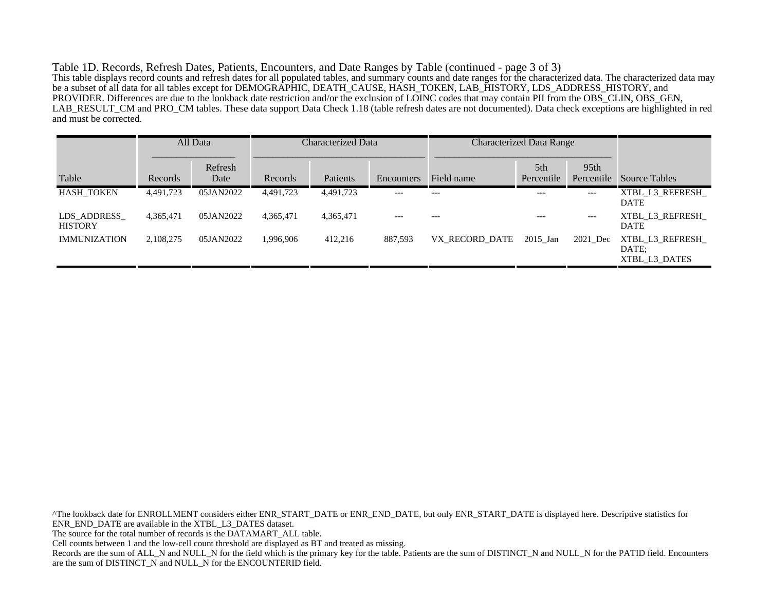Table 1D. Records, Refresh Dates, Patients, Encounters, and Date Ranges by Table (continued - page 3 of 3) This table displays record counts and refresh dates for all populated tables, and summary counts and date ranges for the characterized data. The characterized data may be a subset of all data for all tables except for DEMOGRAPHIC, DEATH\_CAUSE, HASH\_TOKEN, LAB\_HISTORY, LDS\_ADDRESS\_HISTORY, and PROVIDER. Differences are due to the lookback date restriction and/or the exclusion of LOINC codes that may contain PII from the OBS\_CLIN, OBS\_GEN, LAB\_RESULT\_CM and PRO\_CM tables. These data support Data Check 1.18 (table refresh dates are not documented). Data check exceptions are highlighted in red and must be corrected.

|                               |           | All Data        | Characterized Data |           |            | <b>Characterized Data Range</b> |                   |                                |                                           |
|-------------------------------|-----------|-----------------|--------------------|-----------|------------|---------------------------------|-------------------|--------------------------------|-------------------------------------------|
| Table                         | Records   | Refresh<br>Date | Records            | Patients  | Encounters | Field name                      | 5th<br>Percentile | 95 <sub>th</sub><br>Percentile | <b>Source Tables</b>                      |
| <b>HASH TOKEN</b>             | 4,491,723 | 05JAN2022       | 4,491,723          | 4,491,723 | $---$      | $---$                           | $---$             | ---                            | XTBL L3 REFRESH<br><b>DATE</b>            |
| LDS ADDRESS<br><b>HISTORY</b> | 4,365,471 | 05JAN2022       | 4,365,471          | 4,365,471 | $---$      | $---$                           | $---$             | $---$                          | XTBL L3 REFRESH<br><b>DATE</b>            |
| <b>IMMUNIZATION</b>           | 2,108,275 | 05JAN2022       | 1.996.906          | 412,216   | 887,593    | VX RECORD DATE                  | $2015$ Jan        | 2021 Dec                       | XTBL L3 REFRESH<br>DATE:<br>XTBL L3 DATES |

^The lookback date for ENROLLMENT considers either ENR\_START\_DATE or ENR\_END\_DATE, but only ENR\_START\_DATE is displayed here. Descriptive statistics for ENR\_END\_DATE are available in the XTBL\_L3\_DATES dataset. The source for the total number of records is the DATAMART\_ALL table. Cell counts between 1 and the low-cell count threshold are displayed as BT and treated as missing. Records are the sum of ALL\_N and NULL\_N for the field which is the primary key for the table. Patients are the sum of DISTINCT\_N and NULL\_N for the PATID field. Encounters are the sum of DISTINCT\_N and NULL\_N for the ENCOUNTERID field.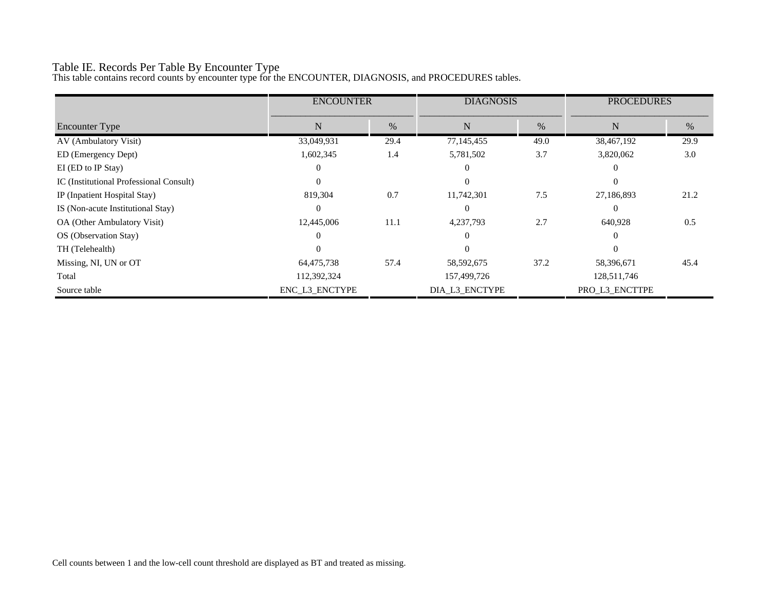# Table IE. Records Per Table By Encounter Type

This table contains record counts by encounter type for the ENCOUNTER, DIAGNOSIS, and PROCEDURES tables.

|                                         | <b>ENCOUNTER</b> |      | <b>DIAGNOSIS</b> |      | <b>PROCEDURES</b> |      |
|-----------------------------------------|------------------|------|------------------|------|-------------------|------|
| <b>Encounter Type</b>                   | N                | $\%$ | N                | $\%$ | N                 | %    |
| AV (Ambulatory Visit)                   | 33,049,931       | 29.4 | 77,145,455       | 49.0 | 38,467,192        | 29.9 |
| ED (Emergency Dept)                     | 1,602,345        | 1.4  | 5,781,502        | 3.7  | 3,820,062         | 3.0  |
| EI (ED to IP Stay)                      |                  |      |                  |      |                   |      |
| IC (Institutional Professional Consult) | $\Omega$         |      | $\Omega$         |      | $\Omega$          |      |
| IP (Inpatient Hospital Stay)            | 819,304          | 0.7  | 11,742,301       | 7.5  | 27,186,893        | 21.2 |
| IS (Non-acute Institutional Stay)       | $\Omega$         |      | $\Omega$         |      | $\Omega$          |      |
| OA (Other Ambulatory Visit)             | 12,445,006       | 11.1 | 4,237,793        | 2.7  | 640,928           | 0.5  |
| OS (Observation Stay)                   | $\Omega$         |      | $\Omega$         |      | $\Omega$          |      |
| TH (Telehealth)                         |                  |      |                  |      |                   |      |
| Missing, NI, UN or OT                   | 64,475,738       | 57.4 | 58, 592, 675     | 37.2 | 58,396,671        | 45.4 |
| Total                                   | 112,392,324      |      | 157,499,726      |      | 128,511,746       |      |
| Source table                            | ENC_L3_ENCTYPE   |      | DIA_L3_ENCTYPE   |      | PRO_L3_ENCTTPE    |      |